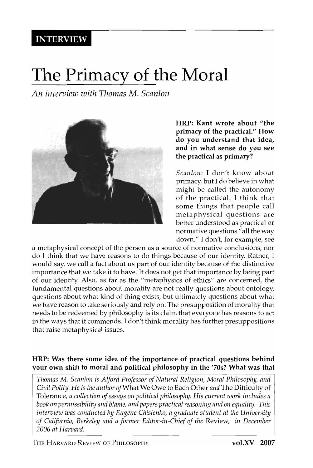**INTERVIEW** 

# **The Primacy of the Moral**

*An interview with Thomas* M. *Scanlon* 



HRP: Kant wrote about "the primacy of the practical." How do you understand that idea, and in what sense do you see the practical as primary?

*Scanlon:* I don't know about primacy, but I do believe in what might be called the autonomy of the practical. I think that some things that people call metaphysical questions are better understood as practical or normative questions "all the way down." I don't, for example, see

a metaphysical concept of the person as a source of normative conclusions, nor do I think that we have reasons to do things because of our identity. Rather, I would say, we call a fact about us part of our identity because of the distinctive importance that we take it to have. It does not get that importance by being part of our identity. Also, as far as the "metaphysics of ethics" are concerned, the fundamental questions about morality are not really questions about ontology, questions about what kind of thing exists, but ultimately questions about what we have reason to take seriously and rely on. The presupposition of morality that needs to be redeemed by philosophy is its claim that everyone has reasons to act in the ways that it commends. I don't think morality has further presuppositions that raise metaphysical issues.

#### HRP: Was there some idea of the importance of practical questions behind your own shift to moral and political philosophy in the '70s? What was that

*Thomas* M. *Scanlon* is *Alford Professor of Natural Religion, Moral Philosophy, and Civil Polity. He* is *the author of* What We Owe to Each Other *and* The Difficulty of Tolerance, *a collection of essays on political philosophy. His current work includes a book on permissibility and blame, and papers practical reasoning and on equality. This interview was conducted by Eugene Chislenko, a graduate student at the University of California, Berkeley and a former Editor-in-Chief of the* Review, *in December 2006 at Harvard.*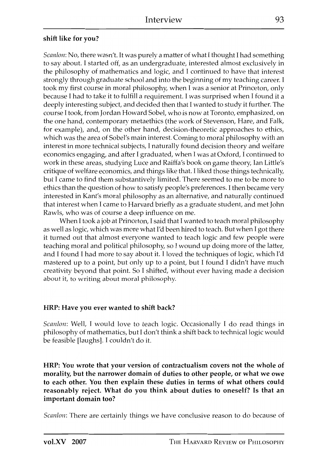# shift like for you?

Scanlon: No, there wasn't. It was purely a matter of what I thought I had something to say about. I started off, as an undergraduate, interested almost exclusively in the philosophy of mathematics and logic, and I continued to have that interest strongly through graduate school and into the beginning of my teaching career. I took my first course in moral philosophy, when I was a senior at Princeton, only because I had to take it to fulfill a requirement. I was surprised when I found it a deeply interesting subject, and decided then that I wanted to study it further. The course T took, from Jordan Howard Sobel, who is now at Toronto, emphasized, on the one hand, contemporary metaethics (the work of Stevenson, Hare, and Falk, for example), and, on the other hand, decision-theoretic approaches to ethics, which was the area of Sobel's main interest. Coming to moral philosophy with an interest in more technical subjects, I naturally found decision theory and welfare economics engaging, and after I graduated, when I was at Oxford, I continued to work in these areas, studying Luce and Raiffa's book on game theory, Ian Little's critique of welfare economics, and things like that. I liked those things technically, but I came to find them substantively limited. There seemed to me to be more to ethics than the question of how to satisfy people's preferences. I then became very interested in Kant's moral philosophy as an alternative, and naturally continued that interest when I came to Harvard briefly as a graduate student, and met John Rawls, who was of course a deep influence on me.

When I took a job at Princeton, I said that I wanted to teach moral philosophy as well as logic, which was more what I'd been hired to teach. But when I got there it turned out that almost everyone wanted to teach logic and few people were teaching moral and political philosophy, so I wound up doing more of the latter, and I found 1 had more to say about it. I loved the techniques of logic, which I'd mastered up to a point, but only up to a point, but 1 found T didn't have much creativity beyond that point. So I shifted, without ever having made a decision about it, to writing about moral philosophy.

#### HRP: Have you ever wanted to shift back?

Scanlon: Well, I would love to teach logic. Occasionally I do read things in philosophy of mathematics, but I don't think a shift back to technicallogic would be feasible [laughs]. I couldn't do it.

HRP: You wrote that your version of contractualism covers not the whole of morality, but the narrower domain of duties to other people, or what we owe to each other. You then explain these duties in terms of what others could reasonably reject. What do you think about duties to oneself? Is that an important domain too?

Scanlon: There are certainly things we have conclusive reason to do because of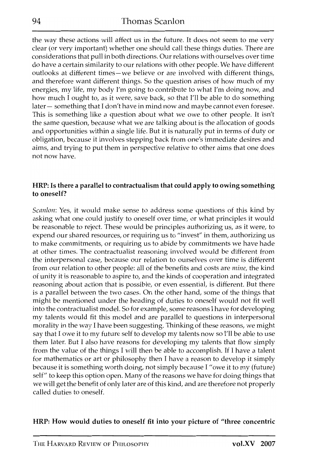the way these actions will affect us in the future. It does not seem to me very clear (or very important) whether one should call these things duties. There are considerations that pull in both directions. Our relations with ourselves over time do have a certain sim ilarity to our relations with other people. We have different outlooks at different times-we believe or are involved with different things, and therefore want different things. So the question arises of how much of my energies, my life, my body I'm going to contribute to what I'm doing now, and how much I ought to, as it were, save back, so that I'll be able to do something later – something that I don't have in mind now and maybe cannot even foresee. This is something like a question about what we owe to other people. It isn't the same question, because what we are talking about is the allocation of goods and opportunities within a single life. But it is naturally put in terms of duty or obligation, because it involves stepping back from one's immediate desires and aims, and trying to put them in perspective relative to other aims that one does not now have.

#### HRP: Is there a parallel to contractualism that could apply to owing something to oneself?

*Scanlon:* Yes, it would make sense to address some questions of this kind by asking what one could justify to oneself over time, or what principles it would be reasonable to reject. These would be principles authorizing us, as it were, to expend our shared resources, or requiring us to "invest" in them, authorizing us to make commitments, or requiring us to abide by commitments we have hade at other times. The contractualist reasoning involved would be different from the interpersonal case, because our relation to ourselves over time is different from our relation to other people: all of the benefits and costs are *mine*, the kind of unity it is reasonable to aspire to, and the kinds of cooperation and integrated reasoning about action that is possible, or even essential, is different. But there is a parallel between the two cases. On the other hand, some of the things that might be mentioned under the heading of duties to oneself would not fit well into the contractualist model. So for example, some reasons I have for developing my talents would fit this model and are parallel to questions in interpersonal morality in the way I have been suggesting. Thinking of these reasons, we might say that I owe it to my future self to develop my talents now so I'll be able to use them later. But I also have reasons for developing my talents that How simply from the value of the things I will then be able to accomplish. If I have a talent for mathematics or art or philosophy then I have a reason to develop it simply because it is something worth doing, not simply because I "owe it to my (future) self" to keep this option open. Many of the reasons we have for doing things that we will get the benefit of only later are of this kind, and are therefore not properly called duties to oneself.

#### HRP: How would duties to oneself fit into your picture of "three concentric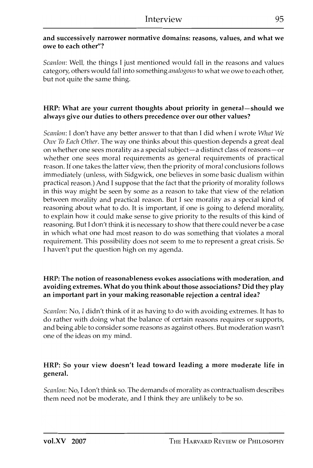# and successively narrower normative domains: reasons, values, and what we owe to each other"?

*Scanlon:* Well, the things I just mentioned would fall in the reasons and values category, others would fall into something *analogous* to what we owe to each other, but not quite the same thing.

# HRP: What are your current thoughts about priority in general-should we always give our duties to others precedence over our other values?

*Scanlon:* I don't have any better answer to that than I did when I wrote *What We Owe To Each Other.* The way one thinks about this question depends a great deal on whether one sees morality as a special subject-a distinct class of reasons-or whether one sees moral requirements as general requirements of practical reason. If one takes the latter view, then the priority of moral conclusions follows immediately (unless, with Sidgwick, one believes in some basic dualism within practical reason.) And I suppose that the fact that the priority of morality follows in this way might be seen by some as a reason to take that view of the relation between morality and practical reason. But I see morality as a special kind of reasoning about what to do. It is important, if one is going to defend morality, to explain how it could make sense to give priority to the results of this kind of reasoning. But I don't think it is necessary to show that there could never be a case in which what one had most reason to do was something that violates a moral requirement. This possibility does not seem to me to represent a great crisis. So I haven't put the question high on my agenda.

#### HRP: The notion of reasonableness evokes associations with moderation, and avoiding extremes. What do you think about those associations? Did they play an important part in your making reasonable rejection a central idea?

*Scanlon:* No, I didn't think of it as having to do with avoiding extremes. It has to do rather with doing what the balance of certain reasons requires or supports, and being able to consider some reasons as against others. But moderation wasn't one of the ideas on my mind.

# HRP: So your view doesn't lead toward leading a more moderate life in general.

*Scanlon:* No, I don't think so. The demands of morality as contractualism describes them need not be moderate, and I think they are unlikely to be so.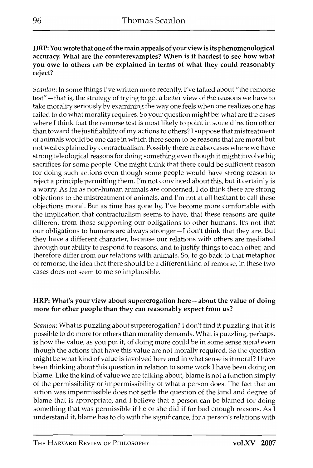HRP: You wrote that one of the main appeals of your view is its phenomenological accuracy. What are the counterexamples? When is it hardest to see how what you owe to others can be explained in terms of what they could reasonably reject?

*Scanlon:* In some things I've written more recently, I've talked about "the remorse test" - that is, the strategy of trying to get a better view of the reasons we have to take morality seriously by examining the way one feels when one realizes one has failed to do what morality requires. So your question might be: what are the cases where I think that the remorse test is most likely to point in some direction other than toward the justifiability of my actions to others? I suppose that mistreatment of animals would be one case in which there seem to be reasons that are moral but not well explained by contractualism. Possibly there are also cases where we have strong teleological reasons for doing something even though it might involve big sacrifices for some people. One might think that there could be sufficient reason for doing such actions even though some people would have strong reason to reject a principle permitting them. I'm not convinced about this, but it certainly is a worry. As far as non-human animals are concerned, I do think there are strong objections to the mistreatment of animals, and I'm not at all hesitant to call these objections moral. But as time has gone by, I've become more comfortable with the implication that contractualism seems to have, that these reasons are quite different from those supporting our obligations to other humans. It's not that our obligations to humans are always stronger-I don't think that they are. But they have a different character, because our relations with others are mediated through our ability to respond to reasons, and to justify things to each other, and therefore differ from our relations with animals. So, to go back to that metaphor of remorse, the idea that there should be a different kind of remorse, in these two cases does not seem to me so implausible.

#### HRP: What's your view about supererogation here-about the value of doing more for other people than they can reasonably expect from us?

*Scanlon:* What is puzzling about supererogation? I don't find it puzzling that it is possible to do more for others than morality demands. What is puzzling, perhaps, is how the value, as you put it, of doing more could be in some sense *moral* even though the actions that have this value are not morally required. So the question might be what kind of value is involved here and in what sense is it moral? I have been thinking about this question in relation to some work I have been doing on blame. Like the kind of value we are talking about, blame is not a function simply of the permissibility or impermissibility of what a person does. The fact that an action was impermissible does not settle the question of the kind and degree of blame that is appropriate, and I believe that a person can be blamed for doing something that was permissible if he or she did if for bad enough reasons. As I understand it, blame has to do with the significance, for a person's relations with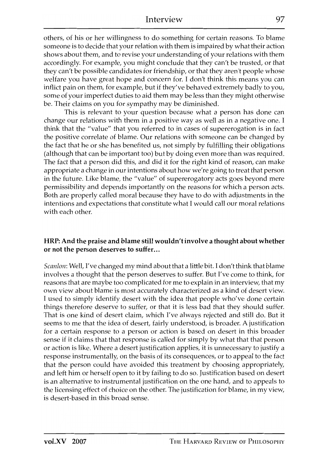others, of his or her willingness to do something for certain reasons. To blame someone is to decide that your relation with them is impaired by what their action shows about them, and to revise your understanding of your relations with them accordingly. For example, you might conclude that they can't be trusted, or that they can't be possible candidates for friendship, or that they aren't people whose welfare you have great hope and concern for. I don't think this means you can inflict pain on them, for example, but if they've behaved extremely badly to you, some of your imperfect duties to aid them may be less than they might otherwise be. Their claims on you for sympathy may be diminished.

This is relevant to your question because what a person has done can change our relations with them in a positive way as well as in a negative one. I think that the "value" that you referred to in cases of supererogation is in fact the positive correlate of blame. Our relations with someone can be changed by the fact that he or she has benefited us, not simply by fulfilling their obligations (although that can be important too) but by doing even more than was required. The fact that a person did this, and did it for the right kind of reason, can make appropriate a change in our intentions about how we're going to treat that person in the future. Like blame, the "value" of supererogatory acts goes beyond mere permissibility and depends importantly on the reasons for which a person acts. Both are properly called moral because they have to do with adjustments in the intentions and expectations that constitute what I would call our moral relations with each other.

#### HRP: And the praise and blame still wouldn't involve a thought about whether or not the person deserves to suffer...

*Scanlon*: Well, I've changed my mind about that a little bit. I don't think that blame involves a thought that the person deserves to suffer. But I've come to think, for reasons that are maybe too complicated for me to explain in an interview, that my own view about blame is most accurately characterized as a kind of desert view. 1 used to simply identify desert with the idea that people who've done certain things therefore deserve to suffer, or that it is less bad that they should suffer. That is one kind of desert claim, which I've always rejected and still do. But it seems to me that the idea of desert, fairly understood, is broader. A justification for a certain response to a person or action is based on desert in this broader sense if it claims that that response is called for simply by what that that person or action is like. Where a desert justification applies, it is unnecessary to justify a response instrumentally, on the basis of its consequences, or to appeal to the fact that the person could have avoided this treatment by choosing appropriately, and left him or herself open to it by failing to do so. Justification based on desert is an alternative to instrumental justification on the one hand, and to appeals to the licensing effect of choice on the other. The justification for blame, in my view, is desert-based in this broad sense.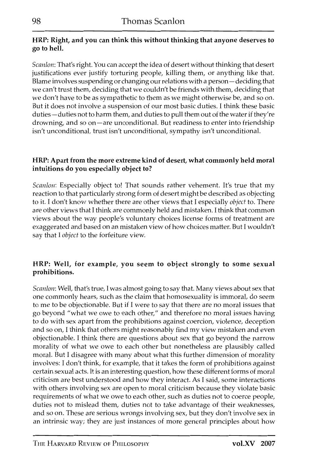# HRP: Right, and you can think this without thinking that anyone deserves to go to hell.

*Scanlon:* That's right. You can accept the idea of desert without thinking that desert justifications ever justify torturing people, killing them, or anything like that. Blame involves suspending or changing our relations with a person - deciding that we can't trust them, deciding that we couldn't be friends with them, deciding that we don't have to be as sympathetic to them as we might otherwise be, and so on. But it does not involve a suspension of our most basic duties. I think these basic duties - duties not to harm them, and duties to pull them out of the water if they're drowning, and so on-are unconditional. But readiness to enter into friendship isn't unconditional, trust isn't unconditional, sympathy isn't unconditional.

# HRP: Apart from the more extreme kind of desert, what commonly held moral intuitions do you especially object to?

*Scanlon:* Especially object to! That sounds rather vehement. It's true that my reaction to that particularly strong form of desert might be described as objecting to it. I don't know whether there are other views that I especially *object* to. There are other views that I think are commonly held and mistaken. I think that common views about the way people's voluntary choices license forms of treatment are exaggerated and based on an mistaken view of how choices matter. But I wouldn't say that I *object* to the forfeiture view.

# HRP: Well, for example, you seem to object strongly to some sexual prohibitions.

*Scanlon:* Well, that's true, I was almost going to say that. Many views about sex that one commonly hears, such as the claim that homosexuality is immoral, do seem to me to be objectionable. But if I were to say that there are no moral issues that go beyond "what we owe to each other," and therefore no moral issues having to do with sex apart from the prohibitions against coercion, violence, deception and so on, I think that others might reasonably find my view mistaken and even objectionable. I think there are questions about sex that go beyond the narrow morality of what we owe to each other but nonetheless are plausibly called moral. But I disagree with many about what this further dimension of morality involves: I don't think, for example, that it takes the form of prohibitions against certain sexual acts. It is an interesting question, how these different forms of moral criticism are best understood and how they interact. As I said, some interactions with others involving sex are open to moral criticism because they violate basic requirements of what we owe to each other, such as duties not to coerce people, duties not to mislead them, duties not to take advantage of their weaknesses, and so on. These are serious wrongs involving sex, but they don't involve sex in an intrinsic way; they are just instances of more general principles about how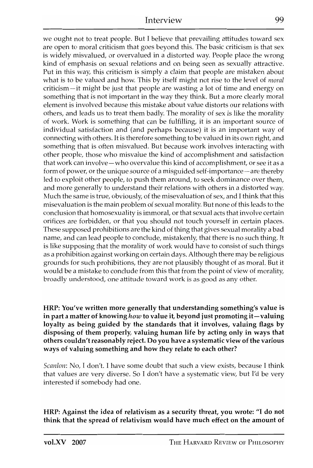we ought not to treat people. But I believe that prevailing attitudes toward sex are open to moral criticism that goes beyond this. The basic criticism is that sex is widely misvalued, or overvalued in a distorted way. People place the wrong kind of emphasis on sexual relations and on being seen as sexually attractive. Put in this way, this criticism is simply a claim that people are mistaken about what is to be valued and how. This by itself might not rise to the level of *moral*  criticism-it might be just that people are wasting a lot of time and energy on something that is not important in the way they think. But a more clearly moral element is involved because this mistake about value distorts our relations with others, and leads us to treat them badly. The morality of sex is like the morality of work. Work is something that can be fulfilling, it is an important source of individual satisfaction and (and perhaps because) it is an important way of connecting with others. It is therefore something to be valued in its own right, and something that is often misvalued. But because work involves interacting with other people, those who misvalue the kind of accomplishment and satisfaction that work can involve-who overvalue this kind of accomplishment, or see it as a form of power, or the unique source of a misguided self-importance- are thereby led to exploit other people, to push them around, to seek dominance over them, and more generally to understand their relations with others in a distorted way. Much the same is true, obviously, of the misevaluation of sex, and I think that this misevaluation is the main problem of sexual morality. But none of this leads to the conclusion that homosexuality is immoral, or that sexual acts that involve certain orifices are forbidden, or that you should not touch yourself in certain places. These supposed prohibitions are the kind of thing that gives sexual morality a bad name, and can lead people to conclude, mistakenly, that there is no such thing. It is like supposing that the morality of work would have to consist of such things as a prohibition against working on certain days. Although there may be religious grounds for such prohibitions, they are not plausibly thought of as moral. But it would be a mistake to conclude from this that from the point of view of morality, broadly understood, one attitude toward work is as good as any other.

HRP: You've written more generally that understanding something's value is in part a matter of knowing *how* to value it, beyond just promoting it-valuing loyalty as being guided by the standards that it involves, valuing flags by disposing of them properly, valuing human life by acting only in ways that others couldn't reasonably reject. Do you have a systematic view of the various ways of valuing something and how they relate to each other?

*Scanlon:* No, T don't. 1 have some doubt that such a view exists, because I think that values are very diverse. So I don't have a systematic view, but I'd be very interested if somebody had one.

HRP: Against the idea of relativism as a security threat, you wrote: "I do not think that the spread of relativism would have much effect on the amount of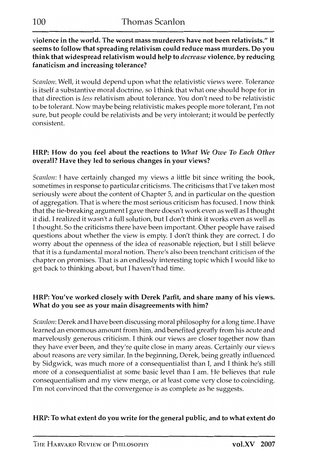violence in the world. The worst mass murderers have not been relativists." It seems to follow that spreading relativism could reduce mass murders. Do you think that widespread relativism would help to *decrease* violence, by reducing fanaticism and increasing tolerance?

*Scanlon:* Well, it would depend upon what the relativistic views were. Tolerance is itself a substantive moral doctrine, so 1 think that what one should hope for in that direction is *less* relativism about tolerance. You don't need to be relativistic to be tolerant. Now maybe being relativistic makes people more tolerant, I'm not sure, but people could be relativists and be very intolerant; it would be perfectly consistent.

## HRP: How do you feel about the reactions to *What We Owe To Each Other*  overall? Have they led to serious changes in your views?

*Scanlon*: I have certainly changed my views a little bit since writing the book, sometimes in response to particular criticisms. The criticisms that I've taken most seriously were about the content of Chapter 5, and in particular on the question of aggregation. That is where the most serious criticism has focused. I now think that the tie-breaking argument I gave there doesn't work even as well as I thought it did. I realized it wasn't a full solution, but I don't think it works even as well as I thought. 50 the criticisms there have been important. Other people have raised questions about whether the view is empty. I don't think they are correct. I do worry about the openness of the idea of reasonable rejection, but I still believe that it is a fundamental moral notion. There's also been trenchant criticism of the chapter on promises. That is an endlessly interesting topic which I would like to get back to thinking about, but I haven't had time.

# HRP: You've worked closely with Derek Parfit, and share many of his views. What do you see as your main disagreements with him?

*Scanlon: Derek and I have been discussing moral philosophy for a long time. I have* learned an enormous amount from him, and benefited greatly from his acute and marvelously generous criticism. I think our views are closer together now than they have ever been, and they're quite close in many areas. Certainly our views about reasons are very similar. In the beginning, Derek, being greatly influenced by 5idgwick, was much more of a consequentialist than I, and I think he's still more of a consequentialist at some basic level than I am. He believes that rule consequentialism and my view merge, or at least come very close to coinciding. I'm not convinced that the convergence is as complete as he suggests.

# HRP: To what extent do you write for the general public, and to what extent do